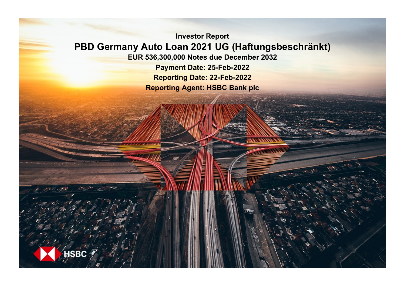**Investor Report PBD Germany Auto Loan 2021 UG (Haftungsbeschränkt) EUR 536,300,000 Notes due December 2032 Payment Date: 25-Feb-2022 Reporting Date: 22-Feb-2022**

**Reporting Agent: HSBC Bank plc**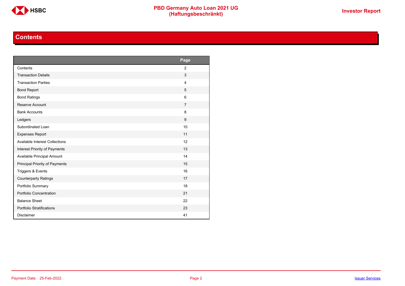

## **Contents**

<span id="page-1-0"></span>

|                                       | Page           |
|---------------------------------------|----------------|
| Contents                              | $\overline{2}$ |
| <b>Transaction Details</b>            | 3              |
| <b>Transaction Parties</b>            | $\overline{4}$ |
| <b>Bond Report</b>                    | 5              |
| <b>Bond Ratings</b>                   | 6              |
| Reserve Account                       | $\overline{7}$ |
| <b>Bank Accounts</b>                  | 8              |
| Ledgers                               | 9              |
| Subordinated Loan                     | 10             |
| <b>Expenses Report</b>                | 11             |
| <b>Available Interest Collections</b> | 12             |
| Interest Priority of Payments         | 13             |
| Available Principal Amount            | 14             |
| Principal Priority of Payments        | 15             |
| Triggers & Events                     | 16             |
| <b>Counterparty Ratings</b>           | 17             |
| Portfolio Summary                     | 18             |
| Portfolio Concentration               | 21             |
| <b>Balance Sheet</b>                  | 22             |
| Portfolio Stratifications             | 23             |
| <b>Disclaimer</b>                     | 41             |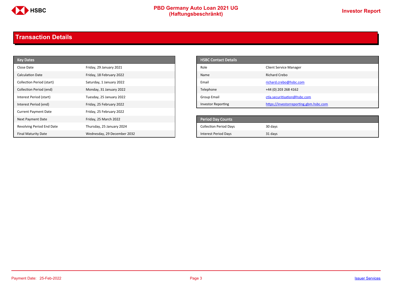

# **PBD Germany Auto Loan 2021 UG**<br>
(Haftungsbeschränkt)<br>
This area of the CHSD CHA (Haftungsbeschränkt)

## <span id="page-2-0"></span>**Transaction Details**

| <b>Key Dates</b>            |                             | <b>HSBC Contact Details</b>   |                                        |
|-----------------------------|-----------------------------|-------------------------------|----------------------------------------|
| Close Date                  | Friday, 29 January 2021     | Role                          | <b>Client Service Manager</b>          |
| Calculation Date            | Friday, 18 February 2022    | Name                          | Richard Crebo                          |
| Collection Period (start)   | Saturday, 1 January 2022    | Email                         | richard.crebo@hsbc.com                 |
| Collection Period (end)     | Monday, 31 January 2022     | Telephone                     | +44 (0) 203 268 4162                   |
| Interest Period (start)     | Tuesday, 25 January 2022    | <b>Group Email</b>            | ctla.securitisation@hsbc.com           |
| Interest Period (end)       | Friday, 25 February 2022    | <b>Investor Reporting</b>     | https://investorreporting.gbm.hsbc.com |
| <b>Current Payment Date</b> | Friday, 25 February 2022    |                               |                                        |
| Next Payment Date           | Friday, 25 March 2022       | Period Day Counts             |                                        |
| Revolving Period End Date   | Thursday, 25 January 2024   | <b>Collection Period Days</b> | 30 days                                |
| <b>Final Maturity Date</b>  | Wednesday, 29 December 2032 | <b>Interest Period Days</b>   | 31 days                                |

| <b>HSBC Contact Details</b> |                                        |
|-----------------------------|----------------------------------------|
| Role                        | <b>Client Service Manager</b>          |
| Name                        | Richard Crebo                          |
| Email                       | richard.crebo@hsbc.com                 |
| Telephone                   | +44 (0) 203 268 4162                   |
| Group Email                 | ctla.securitisation@hsbc.com           |
| <b>Investor Reporting</b>   | https://investorreporting.gbm.hsbc.com |

| <b>Period Day Counts</b>      |         |
|-------------------------------|---------|
| <b>Collection Period Days</b> | 30 days |
| <b>Interest Period Days</b>   | 31 days |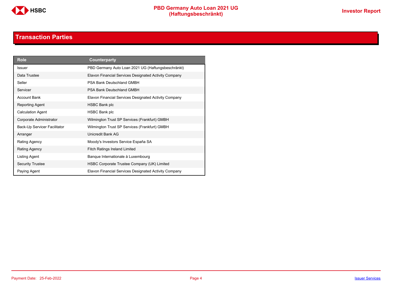

## **Transaction Parties**

<span id="page-3-0"></span>

| <b>Role</b>                  | Counterparty                                          |
|------------------------------|-------------------------------------------------------|
| Issuer                       | PBD Germany Auto Loan 2021 UG (Haftungsbeschränkt)    |
| Data Trustee                 | Elavon Financial Services Designated Activity Company |
| Seller                       | PSA Bank Deutschland GMBH                             |
| Servicer                     | PSA Bank Deutschland GMBH                             |
| <b>Account Bank</b>          | Elavon Financial Services Designated Activity Company |
| Reporting Agent              | <b>HSBC Bank plc</b>                                  |
| <b>Calculation Agent</b>     | HSBC Bank plc                                         |
| Corporate Administrator      | Wilmington Trust SP Services (Frankfurt) GMBH         |
| Back-Up Servicer Facilitator | Wilmington Trust SP Services (Frankfurt) GMBH         |
| Arranger                     | Unicredit Bank AG                                     |
| Rating Agency                | Moody's Investors Service España SA                   |
| Rating Agency                | <b>Fitch Ratings Ireland Limited</b>                  |
| Listing Agent                | Banque Internationale à Luxembourg                    |
| <b>Security Trustee</b>      | HSBC Corporate Trustee Company (UK) Limited           |
| Paying Agent                 | Elavon Financial Services Designated Activity Company |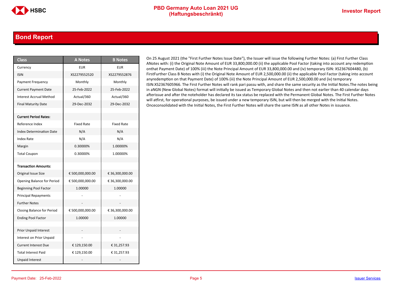### <span id="page-4-0"></span>**Bond Report**

| <b>Class</b>                      | <b>A Notes</b>    | <b>B</b> Notes    |
|-----------------------------------|-------------------|-------------------|
| Currency                          | <b>EUR</b>        | <b>EUR</b>        |
| <b>ISIN</b>                       | XS2279552520      | XS2279552876      |
| Payment Frequency                 | Monthly           | Monthly           |
| <b>Current Payment Date</b>       | 25-Feb-2022       | 25-Feb-2022       |
| <b>Interest Accrual Method</b>    | Actual/360        | Actual/360        |
| <b>Final Maturity Date</b>        | 29-Dec-2032       | 29-Dec-2032       |
|                                   |                   |                   |
| <b>Current Period Rates:</b>      |                   |                   |
| Reference Index                   | <b>Fixed Rate</b> | <b>Fixed Rate</b> |
| <b>Index Determination Date</b>   | N/A               | N/A               |
| Index Rate                        | N/A               | N/A               |
| Margin                            | 0.30000%          | 1.00000%          |
| <b>Total Coupon</b>               | 0.30000%          | 1.00000%          |
|                                   |                   |                   |
| <b>Transaction Amounts:</b>       |                   |                   |
| Original Issue Size               | € 500,000,000.00  | € 36,300,000.00   |
| Opening Balance for Period        | € 500,000,000.00  | € 36,300,000.00   |
| <b>Beginning Pool Factor</b>      | 1.00000           | 1.00000           |
| <b>Principal Repayments</b>       |                   |                   |
| <b>Further Notes</b>              |                   |                   |
| <b>Closing Balance for Period</b> | € 500,000,000.00  | € 36,300,000.00   |
| <b>Ending Pool Factor</b>         | 1.00000           | 1.00000           |
|                                   |                   |                   |
| <b>Prior Unpaid Interest</b>      |                   |                   |
| Interest on Prior Unpaid          |                   |                   |
| <b>Current Interest Due</b>       | € 129,150.00      | € 31,257.93       |
| <b>Total Interest Paid</b>        | € 129,150.00      | € 31,257.93       |
| <b>Unpaid Interest</b>            |                   |                   |

On 25 August 2021 (the "First Further Notes Issue Date"), the Issuer will issue the following Further Notes: (a) First Further Class ANotes with: (i) the Original Note Amount of EUR 33,800,000.00 (ii) the applicable Pool Factor (taking into account any redemption onthat Payment Date) of 100% (iii) the Note Principal Amount of EUR 33,800,000.00 and (iv) temporary ISIN: XS2367604480, (b) FirstFurther Class B Notes with (i) the Original Note Amount of EUR 2,500,000.00 (ii) the applicable Pool Factor (taking into account anyredemption on that Payment Date) of 100% (iii) the Note Principal Amount of EUR 2,500,000.00 and (iv) temporary ISIN:XS2367605966. The First Further Notes will rank pari passu with, and share the same security as the Initial Notes.The notes being in aNGN (New Global Notes) format will initially be issued as Temporary Global Notes and then not earlier than 40 calendar days afterissue and after the noteholder has declared its tax status be replaced with the Permanent Global Notes. The First Further Notes will atfirst, for operational purposes, be issued under a new temporary ISIN, but will then be merged with the Initial Notes. Onceconsolidated with the Initial Notes, the First Further Notes will share the same ISIN as all other Notes in issuance.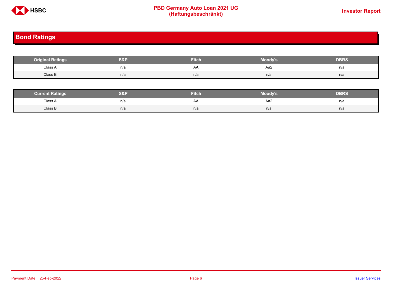

# **PBD Germany Auto Loan 2021 UG**<br>
(Haftungsbeschränkt)<br>
This area of the CHSD CHA (Haftungsbeschränkt)

# <span id="page-5-0"></span>**Bond Ratings**

| <b>Original Ratings</b> | S&F | <b>Fitch</b> | Moody's | <b>DBRS</b> |
|-------------------------|-----|--------------|---------|-------------|
| Class A<br>.            | n/a | AA           | Aa2     | n/a         |
| Class B                 | n/a | n/a          | n/a     | n/a         |

| <b>Surrent Ratings</b> | 0.91<br>>I≏∃i | <b>Fitch</b> | Moody's | DERS. |
|------------------------|---------------|--------------|---------|-------|
| Class A<br>.           | n/a           | ₩            | Aa2     | n/a   |
| Class B                | n/a           | n/a          | n/a     | n/a   |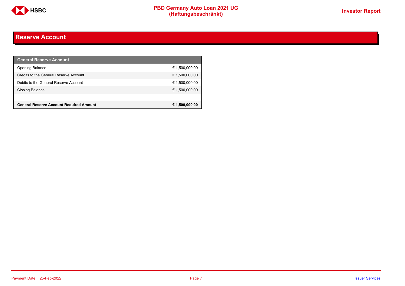

## <span id="page-6-0"></span>**Reserve Account**

| <b>General Reserve Account</b>                 |                |
|------------------------------------------------|----------------|
| <b>Opening Balance</b>                         | € 1,500,000.00 |
| Credits to the General Reserve Account         | € 1,500,000.00 |
| Debits to the General Reserve Account          | € 1,500,000.00 |
| Closing Balance                                | € 1,500,000.00 |
|                                                |                |
| <b>General Reserve Account Required Amount</b> | € 1,500,000.00 |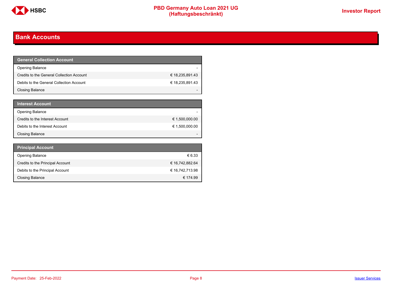

## <span id="page-7-0"></span>**Bank Accounts**

| <b>General Collection Account</b>         |                 |
|-------------------------------------------|-----------------|
| <b>Opening Balance</b>                    |                 |
| Credits to the General Collection Account | € 18,235,891.43 |
| Debits to the General Collection Account  | € 18,235,891.43 |
| Closing Balance                           |                 |

| <b>Interest Account</b>         |                |
|---------------------------------|----------------|
| <b>Opening Balance</b>          |                |
| Credits to the Interest Account | € 1,500,000.00 |
| Debits to the Interest Account  | € 1,500,000.00 |
| <b>Closing Balance</b>          |                |

| <b>Principal Account</b>         |                 |
|----------------------------------|-----------------|
| <b>Opening Balance</b>           | € 6.33          |
| Credits to the Principal Account | € 16,742,882.64 |
| Debits to the Principal Account  | € 16,742,713.98 |
| <b>Closing Balance</b>           | € 174.99        |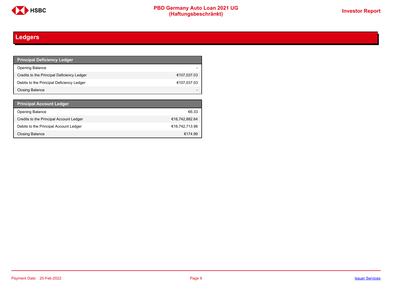

# <span id="page-8-0"></span>**Ledgers**

| <b>Principal Deficiency Ledger</b>         |             |
|--------------------------------------------|-------------|
| <b>Opening Balance</b>                     |             |
| Credits to the Principal Deficiency Ledger | €107,037.03 |
| Debits to the Principal Deficiency Ledger  | €107,037.03 |
| Closing Balance                            |             |

| <b>Principal Account Ledger</b>         |                |
|-----------------------------------------|----------------|
| <b>Opening Balance</b>                  | €6.33          |
| Credits to the Principal Account Ledger | €16,742,882.64 |
| Debits to the Principal Account Ledger  | €16,742,713.98 |
| Closing Balance                         | €174.99        |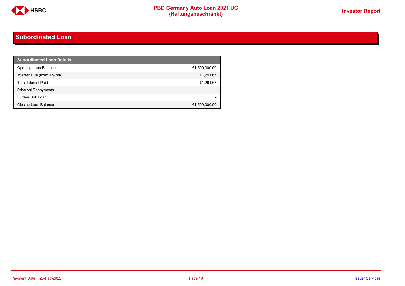

## <span id="page-9-0"></span>**Subordinated Loan**

| <b>Subordinated Loan Details</b> |                          |
|----------------------------------|--------------------------|
| Opening Loan Balance             | €1,500,000.00            |
| Interest Due (fixed 1% p/a)      | €1,291.67                |
| <b>Total Interest Paid</b>       | €1,291.67                |
| <b>Principal Repayments</b>      |                          |
| Further Sub Loan                 | $\overline{\phantom{0}}$ |
| Closing Loan Balance             | €1,500,000.00            |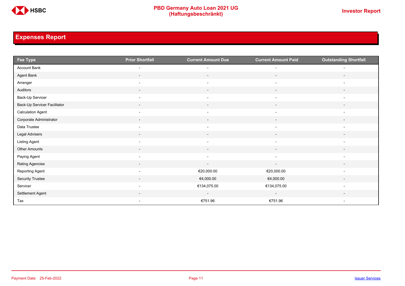

# <span id="page-10-0"></span>**Expenses Report**

| Fee Type                     | <b>Prior Shortfall</b>   | <b>Current Amount Due</b> | <b>Current Amount Paid</b> | <b>Outstanding Shortfall</b> |
|------------------------------|--------------------------|---------------------------|----------------------------|------------------------------|
| Account Bank                 | $\overline{\phantom{0}}$ | $\overline{\phantom{0}}$  | $\overline{\phantom{0}}$   |                              |
| Agent Bank                   | $\sim$                   | $\sim$                    | $\sim$                     | $\overline{\phantom{a}}$     |
| Arranger                     | $\overline{\phantom{a}}$ | $\overline{\phantom{a}}$  | $\overline{\phantom{a}}$   | $\overline{\phantom{a}}$     |
| Auditors                     | $\overline{\phantom{a}}$ | $\sim$                    | $\overline{\phantom{a}}$   | $\overline{\phantom{a}}$     |
| Back-Up Servicer             | $\overline{\phantom{a}}$ | $\overline{\phantom{a}}$  | $\overline{\phantom{a}}$   | $\overline{\phantom{a}}$     |
| Back-Up Servicer Facilitator | $\overline{\phantom{a}}$ | $\overline{\phantom{a}}$  | $\overline{\phantom{a}}$   | $\overline{\phantom{a}}$     |
| <b>Calculation Agent</b>     | $\overline{\phantom{a}}$ | $\overline{\phantom{a}}$  | $\overline{\phantom{a}}$   | $\overline{\phantom{a}}$     |
| Corporate Administrator      | $\overline{\phantom{a}}$ | $\overline{\phantom{a}}$  | $\sim$                     | $\overline{\phantom{a}}$     |
| Data Trustee                 | $\overline{\phantom{a}}$ | $\overline{\phantom{a}}$  | $\overline{\phantom{a}}$   | $\overline{\phantom{a}}$     |
| Legal Advisers               | $\sim$                   | $\sim$                    | $\sim$                     | $\sim$                       |
| Listing Agent                | $\overline{\phantom{a}}$ | $\overline{\phantom{a}}$  | $\overline{\phantom{a}}$   | $\overline{\phantom{a}}$     |
| Other Amounts                | $\overline{\phantom{a}}$ | $\overline{\phantom{a}}$  | $\overline{\phantom{a}}$   |                              |
| Paying Agent                 | $\overline{\phantom{a}}$ | $\overline{\phantom{a}}$  | $\overline{\phantom{a}}$   | $\overline{\phantom{a}}$     |
| Rating Agencies              | $\overline{\phantom{a}}$ | $\overline{\phantom{a}}$  | $\overline{\phantom{a}}$   | $\overline{\phantom{a}}$     |
| Reporting Agent              | $\overline{\phantom{a}}$ | €20,000.00                | €20,000.00                 | $\overline{\phantom{a}}$     |
| Security Trustee             | $\sim$                   | €4,000.00                 | €4,000.00                  | $\overline{\phantom{a}}$     |
| Servicer                     | $\overline{\phantom{a}}$ | €134,075.00               | €134,075.00                | $\overline{\phantom{a}}$     |
| Settlement Agent             |                          | $\overline{\phantom{a}}$  | $\overline{\phantom{a}}$   |                              |
| Tax                          | $\overline{\phantom{a}}$ | €751.96                   | €751.96                    | $\overline{\phantom{a}}$     |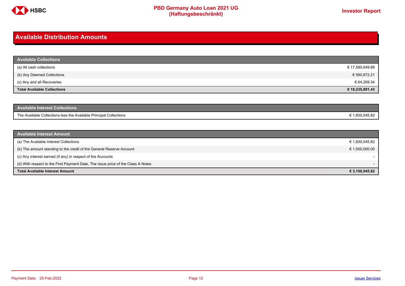

### <span id="page-11-0"></span>**Available Distribution Amounts**

| <b>Available Collections</b> |                 |
|------------------------------|-----------------|
| (a) All cash collections     | € 17,580,649.88 |
| (b) Any Deemed Collections   | € 590,972.21    |
| (c) Any and all Recoveries   | € 64,269.34     |
| Total Available Collections  | € 18,235,891.43 |

| <b>Available Interest Collections</b>                              |              |
|--------------------------------------------------------------------|--------------|
| The Available Collections less the Available Principal Collections | 1.600.045.82 |

| <b>Available Interest Amount</b>                                                 |                |
|----------------------------------------------------------------------------------|----------------|
| (a) The Available Interest Collections                                           | € 1,600,045.82 |
| (b) The amount standing to the credit of the General Reserve Account             | € 1,500,000.00 |
| (c) Any interest earned (if any) in respect of the Accounts                      |                |
| (d) With respect to the First Payment Date, The issue price of the Class A Notes |                |
| <b>Total Available Interest Amount</b>                                           | € 3,100,045.82 |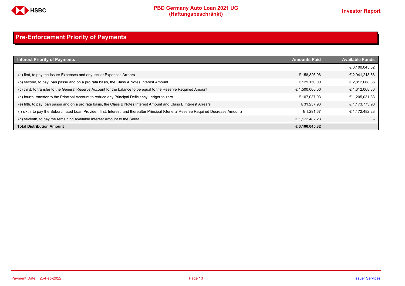

# <span id="page-12-0"></span>**Pre-Enforcement Priority of Payments**

| <b>Interest Priority of Payments</b>                                                                                                   | <b>Amounts Paid</b> | <b>Available Funds</b> |
|----------------------------------------------------------------------------------------------------------------------------------------|---------------------|------------------------|
|                                                                                                                                        |                     | € 3,100,045.82         |
| (a) first, to pay the Issuer Expenses and any Issuer Expenses Arrears                                                                  | € 158.826.96        | € 2,941,218.86         |
| (b) second, to pay, pari passu and on a pro rata basis, the Class A Notes Interest Amount                                              | € 129.150.00        | € 2,812,068.86         |
| (c) third, to transfer to the General Reserve Account for the balance to be equal to the Reserve Required Amount                       | € 1,500,000.00      | € 1,312,068.86         |
| (d) fourth, transfer to the Principal Account to reduce any Principal Deficiency Ledger to zero                                        | € 107.037.03        | € 1,205,031.83         |
| (e) fifth, to pay, pari passu and on a pro rata basis, the Class B Notes Interest Amount and Class B Interest Arrears                  | € 31.257.93         | € 1,173,773.90         |
| (f) sixth, to pay the Subordinated Loan Provider, first, Interest, and thereafter Principal (General Reserve Required Decrease Amount) | € 1.291.67          | € 1,172,482.23         |
| (q) seventh, to pay the remaining Available Interest Amount to the Seller                                                              | € 1.172.482.23      |                        |
| <b>Total Distribution Amount</b>                                                                                                       | € 3,100,045.82      |                        |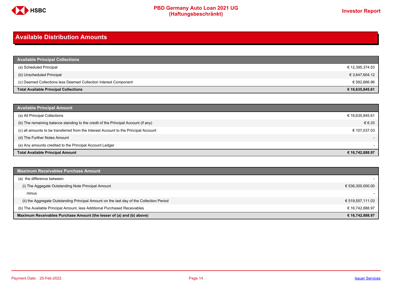

### <span id="page-13-0"></span>**Available Distribution Amounts**

| <b>Available Principal Collections</b>                           |                 |
|------------------------------------------------------------------|-----------------|
| (a) Scheduled Principal                                          | € 12,395,374.53 |
| (b) Unscheduled Principal                                        | € 3,647,604.12  |
| (c) Deemed Collections less Deemed Collection Interest Component | € 592,866.96    |
| <b>Total Available Principal Collections</b>                     | € 16,635,845.61 |

| <b>Available Principal Amount</b>                                                    |                          |
|--------------------------------------------------------------------------------------|--------------------------|
| (a) All Principal Collections                                                        | € 16,635,845.61          |
| (b) The remaining balance standing to the credit of the Principal Account (if any)   | € 6.33                   |
| (c) all amounts to be transferred from the Interest Account to the Principal Account | € 107,037.03             |
| (d) The Further Notes Amount                                                         | $\overline{\phantom{a}}$ |
| (e) Any amounts credited to the Principal Account Ledger                             |                          |
| <b>Total Available Principal Amount</b>                                              | € 16,742,888.97          |

| <b>Maximum Receivables Purchase Amount</b>                                               |                  |
|------------------------------------------------------------------------------------------|------------------|
| (a) the difference between:                                                              |                  |
| (i) The Aggegate Outstanding Note Principal Amount                                       | € 536,300,000.00 |
| minus                                                                                    |                  |
| (ii) the Aggregate Outstanding Principal Amount on the last day of the Collection Period | € 519,557,111.03 |
| (b) The Available Principal Amount, less Additional Purchased Receivables                | € 16.742.888.97  |
| Maximum Receivables Purchase Amount (the lesser of (a) and (b) above)                    | € 16,742,888.97  |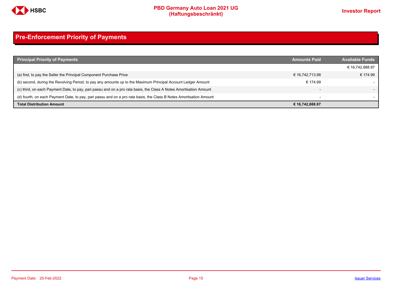

# <span id="page-14-0"></span>**Pre-Enforcement Priority of Payments**

| <b>Principal Priority of Payments</b>                                                                               | <b>Amounts Paid</b>      | <b>Available Funds</b> |
|---------------------------------------------------------------------------------------------------------------------|--------------------------|------------------------|
|                                                                                                                     |                          | € 16,742,888.97        |
| (a) first, to pay the Seller the Principal Component Purchase Price                                                 | € 16,742,713.98          | € 174.99               |
| (b) second, during the Revolving Period, to pay any amounts up to the Maximum Principal Account Ledger Amount       | € 174.99                 |                        |
| (c) third, on each Payment Date, to pay, pari passu and on a pro rata basis, the Class A Notes Amortisation Amount  |                          |                        |
| (d) fourth, on each Payment Date, to pay, pari passu and on a pro rata basis, the Class B Notes Amortisation Amount | $\overline{\phantom{0}}$ |                        |
| <b>Total Distribution Amount</b>                                                                                    | € 16,742,888.97          |                        |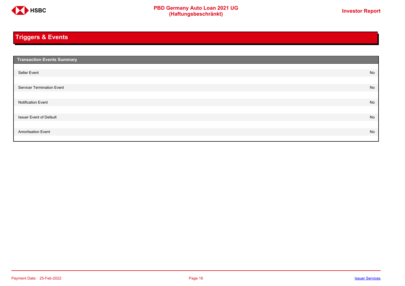

# <span id="page-15-0"></span>**Triggers & Events**

| <b>Transaction Events Summary</b> |    |
|-----------------------------------|----|
|                                   |    |
| Seller Event                      | No |
|                                   |    |
| Servicer Termination Event        | No |
|                                   |    |
| <b>Notification Event</b>         | No |
|                                   |    |
| <b>Issuer Event of Default</b>    | No |
|                                   |    |
| <b>Amortisation Event</b>         | No |
|                                   |    |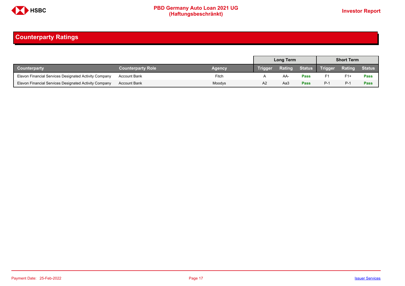

## <span id="page-16-0"></span>**Counterparty Ratings**

|                                                       |                          |        | <b>Long Term</b> |        |             | <b>Short Term</b> |               |               |
|-------------------------------------------------------|--------------------------|--------|------------------|--------|-------------|-------------------|---------------|---------------|
| Counterparty                                          | <b>Counterparty Role</b> | Agency | Trigger          | Rating |             | Status Trigger    | <b>Rating</b> | <b>Status</b> |
| Elavon Financial Services Designated Activity Company | <b>Account Bank</b>      | Fitch  |                  | AA-    | Pass        | F1                | $F1+$         | Pass          |
| Elavon Financial Services Designated Activity Company | <b>Account Bank</b>      | Moodys | A2               | Aa3    | <b>Pass</b> | $P-1$             | $P-1$         | Pass          |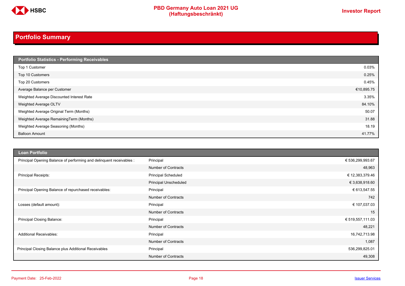

# **PBD Germany Auto Loan 2021 UG**<br>
(Haftungsbeschränkt)<br>
This area of the CHSD CHA (Haftungsbeschränkt)

# <span id="page-17-0"></span>**Portfolio Summary**

| Portfolio Statistics - Performing Receivables |            |
|-----------------------------------------------|------------|
| Top 1 Customer                                | 0.03%      |
| Top 10 Customers                              | 0.25%      |
| Top 20 Customers                              | 0.45%      |
| Average Balance per Customer                  | €10,895.75 |
| Weighted Average Discounted Interest Rate     | 3.35%      |
| Weighted Average OLTV                         | 84.10%     |
| Weighted Average Original Term (Months)       | 50.07      |
| Weighted Average RemainingTerm (Months)       | 31.88      |
| Weighted Average Seasoning (Months)           | 18.19      |
| <b>Balloon Amount</b>                         | 41.77%     |

| <b>Loan Portfolio</b>                                                |                              |                  |
|----------------------------------------------------------------------|------------------------------|------------------|
| Principal Opening Balance of performing and delinquent receivables : | Principal                    | € 536,299,993.67 |
|                                                                      | <b>Number of Contracts</b>   | 48,963           |
| <b>Principal Receipts:</b>                                           | <b>Principal Scheduled</b>   | € 12,383,379.46  |
|                                                                      | <b>Principal Unscheduled</b> | € 3,638,918.60   |
| Principal Opening Balance of repurchased receivables:                | Principal                    | € 613,547.55     |
|                                                                      | <b>Number of Contracts</b>   | 742              |
| Losses (default amount):                                             | Principal                    | € 107,037.03     |
|                                                                      | <b>Number of Contracts</b>   | 15               |
| Principal Closing Balance:                                           | Principal                    | € 519,557,111.03 |
|                                                                      | <b>Number of Contracts</b>   | 48,221           |
| <b>Additional Receivables:</b>                                       | Principal                    | 16,742,713.98    |
|                                                                      | <b>Number of Contracts</b>   | 1,087            |
| Principal Closing Balance plus Additional Receivables                | Principal                    | 536,299,825.01   |
|                                                                      | <b>Number of Contracts</b>   | 49,308           |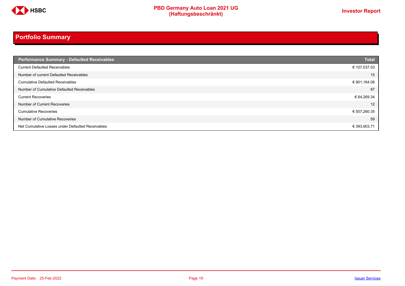

# **Portfolio Summary**

| <b>Performance Summary - Defaulted Receivables</b> | <b>Total</b> |
|----------------------------------------------------|--------------|
| <b>Current Defaulted Receivables</b>               | € 107,037.03 |
| Number of current Defaulted Receivables            | 15           |
| <b>Cumulative Defaulted Receivables</b>            | € 901,164.06 |
| Number of Cumulative Defaulted Receivables         | 87           |
| <b>Current Recoveries</b>                          | € 64,269.34  |
| Number of Current Recoveries                       | 12           |
| <b>Cumulative Recoveries</b>                       | € 507,260.35 |
| Number of Cumulative Recoveries                    | 59           |
| Net Cumulative Losses under Defaulted Receivables  | € 393,903.71 |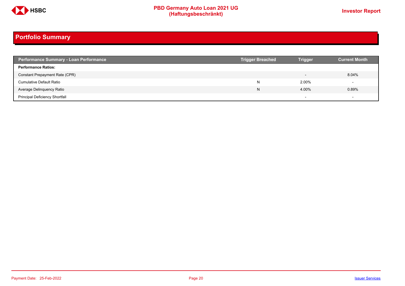

# **PBD Germany Auto Loan 2021 UG**<br>
(Haftungsbeschränkt)<br>
This area of the CHSD CHA (Haftungsbeschränkt)

# **Portfolio Summary**

| <b>Performance Summary - Loan Performance</b> | <b>Trigger Breached</b> | <b>Trigger</b>           | <b>Current Month</b> |
|-----------------------------------------------|-------------------------|--------------------------|----------------------|
| <b>Performance Ratios:</b>                    |                         |                          |                      |
| Constant Prepayment Rate (CPR)                |                         | $\overline{\phantom{0}}$ | 8.04%                |
| <b>Cumulative Default Ratio</b>               | N                       | 2.00%                    |                      |
| Average Delinquency Ratio                     | N                       | 4.00%                    | 0.89%                |
| <b>Principal Deficiency Shortfall</b>         |                         | $\overline{\phantom{0}}$ |                      |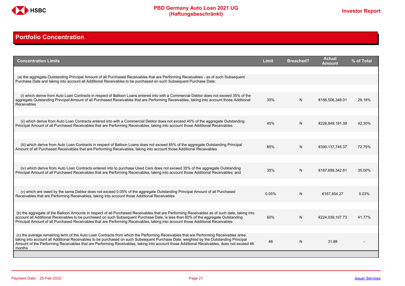

## <span id="page-20-0"></span>**Portfolio Concentration**

| <b>Concentration Limits</b>                                                                                                                                                                                                                                                                                                                                                                                                              | <b>Limit</b> | <b>Breached?</b> | <b>Actual</b><br>Amount | % of Total |
|------------------------------------------------------------------------------------------------------------------------------------------------------------------------------------------------------------------------------------------------------------------------------------------------------------------------------------------------------------------------------------------------------------------------------------------|--------------|------------------|-------------------------|------------|
| (a) the aggregate Outstanding Principal Amount of all Purchased Receivables that are Performing Receivables - as of such Subsequent<br>Purchase Date and taking into account all Additional Receivables to be purchased on such Subsequent Purchase Date:                                                                                                                                                                                |              |                  |                         |            |
| (i) which derive from Auto Loan Contracts in respect of Balloon Loans entered into with a Commercial Debtor does not exceed 35% of the                                                                                                                                                                                                                                                                                                   |              |                  |                         |            |
| aggregate Outstanding Principal Amount of all Purchased Receivables that are Performing Receivables, taking into account those Additional<br><b>Receivables</b>                                                                                                                                                                                                                                                                          | 35%          | N                | €156,506,348.01         | 29.18%     |
|                                                                                                                                                                                                                                                                                                                                                                                                                                          |              |                  |                         |            |
| (ii) which derive from Auto Loan Contracts entered into with a Commercial Debtor does not exceed 45% of the aggregate Outstanding<br>Principal Amount of all Purchased Receivables that are Performing Receivables, taking into account those Additional Receivables                                                                                                                                                                     | 45%          | N                | €226,849,191.39         | 42.30%     |
|                                                                                                                                                                                                                                                                                                                                                                                                                                          |              |                  |                         |            |
| (iii) which derive from Auto Loan Contracts in respect of Balloon Loans does not exceed 85% of the aggregate Outstanding Principal<br>Amount of all Purchased Receivables that are Performing Receivables, taking into account those Additional Receivables                                                                                                                                                                              | 85%          | N                | €390,137,745.37         | 72.75%     |
|                                                                                                                                                                                                                                                                                                                                                                                                                                          |              |                  |                         |            |
| (iv) which derive from Auto Loan Contracts entered into to purchase Used Cars does not exceed 35% of the aggregate Outstanding<br>Principal Amount of all Purchased Receivables that are Performing Receivables, taking into account those Additional Receivables; and                                                                                                                                                                   | 35%          | N                | €187,699,342.61         | 35.00%     |
|                                                                                                                                                                                                                                                                                                                                                                                                                                          |              |                  |                         |            |
| (v) which are owed by the same Debtor does not exceed 0.05% of the aggregate Outstanding Principal Amount of all Purchased<br>Receivables that are Performing Receivables, taking into account those Additional Receivables                                                                                                                                                                                                              | 0.05%        | N                | €167,854.27             | 0.03%      |
|                                                                                                                                                                                                                                                                                                                                                                                                                                          |              |                  |                         |            |
| (b) the aggregate of the Balloon Amounts in respect of all Purchased Receivables that are Performing Receivables as of such date, taking into<br>account all Additional Receivables to be purchased on such Subsequent Purchase Date, is less than 60% of the aggregate Outstanding<br>Principal Amount of all Purchased Receivables that are Performing Receivables, taking into account those Additional Receivables                   | 60%          | N                | €224,039,107.73         | 41.77%     |
|                                                                                                                                                                                                                                                                                                                                                                                                                                          |              |                  |                         |            |
| (c) the average remaining term of the Auto Loan Contracts from which the Performing Receivables that are Performing Receivables arise.<br>taking into account all Additional Receivables to be purchased on such Subsequent Purchase Date, weighted by the Outstanding Principal<br>Amount of the Performing Receivables that are Performing Receivables, taking into account those Additional Receivables, does not exceed 46<br>months | 46           | N                | 31.88                   |            |
|                                                                                                                                                                                                                                                                                                                                                                                                                                          |              |                  |                         |            |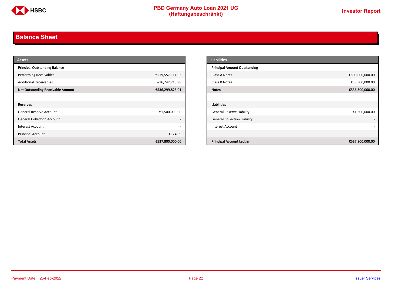

## <span id="page-21-0"></span>**Balance Sheet**

| <b>Assets</b>                            |                          | <b>Liabilities</b>                  |                 |
|------------------------------------------|--------------------------|-------------------------------------|-----------------|
| <b>Principal Outstanding Balance</b>     |                          | <b>Principal Amount Outstanding</b> |                 |
| <b>Performing Receivables</b>            | €519,557,111.03          | Class A Notes                       | €500,000,000.00 |
| <b>Additional Receivables</b>            | €16,742,713.98           | Class B Notes                       | €36,300,000.00  |
| <b>Net Outstanding Receivable Amount</b> | €536,299,825.01          | <b>Notes</b>                        | €536,300,000.00 |
|                                          |                          |                                     |                 |
| Reserves                                 |                          | Liabilities                         |                 |
| General Reserve Account                  | €1,500,000.00            | <b>General Reserve Liability</b>    | €1,500,000.00   |
| <b>General Collection Account</b>        | $\overline{\phantom{a}}$ | <b>General Collection Liability</b> |                 |
| Interest Account                         | $\overline{\phantom{a}}$ | Interest Account                    |                 |
| Principal Account                        | €174.99                  |                                     |                 |
| <b>Total Assets</b>                      | €537,800,000.00          | <b>Principal Account Ledger</b>     | €537,800,000.00 |

| <b>Liabilities</b>                  |                 |
|-------------------------------------|-----------------|
| <b>Principal Amount Outstanding</b> |                 |
| Class A Notes                       | €500,000,000.00 |
| Class B Notes                       | €36,300,000.00  |
| <b>Notes</b>                        | €536,300,000.00 |
|                                     |                 |
| <b>Liabilities</b>                  |                 |
| <b>General Reserve Liability</b>    | €1,500,000.00   |
| <b>General Collection Liability</b> | ٠               |
| <b>Interest Account</b>             |                 |
|                                     |                 |
| <b>Principal Account Ledger</b>     | €537,800,000.00 |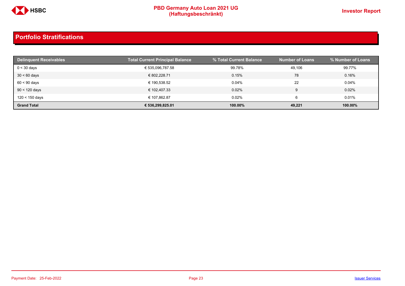

| <b>Delinguent Receivables</b> | <b>Total Current Principal Balance</b> | % Total Current Balance | <b>Number of Loans</b> | % Number of Loans |
|-------------------------------|----------------------------------------|-------------------------|------------------------|-------------------|
| $0 < 30$ days                 | € 535,096,787.58                       | 99.78%                  | 49,106                 | 99.77%            |
| $30 < 60$ days                | € 802.228.71                           | 0.15%                   | 78                     | 0.16%             |
| $60 < 90$ days                | € 190.538.52                           | 0.04%                   | 22                     | 0.04%             |
| $90 < 120$ days               | € 102.407.33                           | 0.02%                   | 9                      | 0.02%             |
| 120 < 150 days                | € 107.862.87                           | 0.02%                   | 6                      | $0.01\%$          |
| <b>Grand Total</b>            | € 536.299.825.01                       | 100.00%                 | 49,221                 | 100.00%           |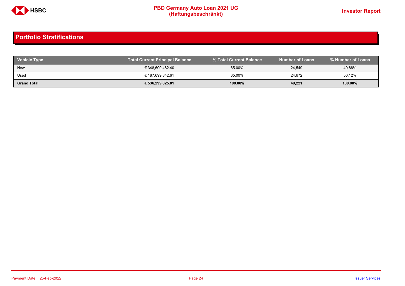

| <b>Vehicle Type</b> | <b>Total Current Principal Balance</b> | % Total Current Balance | <b>Number of Loans</b> | % Number of Loans |
|---------------------|----------------------------------------|-------------------------|------------------------|-------------------|
| <b>New</b>          | € 348,600,482.40                       | 65.00%                  | 24,549                 | 49.88%            |
| Used                | € 187,699,342.61                       | 35.00%                  | 24,672                 | 50.12%            |
| <b>Grand Total</b>  | € 536,299,825.01                       | $100.00\%$              | 49,221                 | 100.00%           |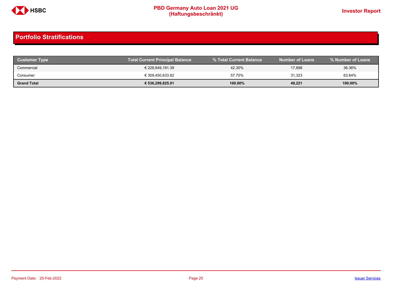

| <b>Customer Type</b> | <b>Total Current Principal Balance</b> |         | Number of Loans <b>b</b> | % Number of Loans |
|----------------------|----------------------------------------|---------|--------------------------|-------------------|
| Commercial           | € 226,849,191.39                       | 42.30%  | 17,898                   | 36.36%            |
| Consumer             | € 309.450.633.62                       | 57.70%  | 31,323                   | 63.64%            |
| <b>Grand Total</b>   | € 536,299,825.01                       | 100.00% | 49,221                   | 100.00%           |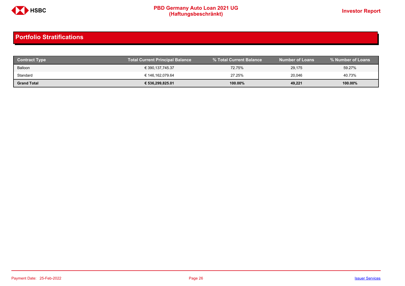

| <b>Contract Type</b> | <b>Total Current Principal Balance</b> |            | <b>Number of Loans</b> | % Number of Loans |
|----------------------|----------------------------------------|------------|------------------------|-------------------|
| Balloon              | € 390,137,745.37                       | 72.75%     | 29,175                 | 59.27%            |
| Standard             | € 146,162,079.64                       | 27.25%     | 20.046                 | 40.73%            |
| <b>Grand Total</b>   | € 536,299,825.01                       | $100.00\%$ | 49,221                 | 100.00%           |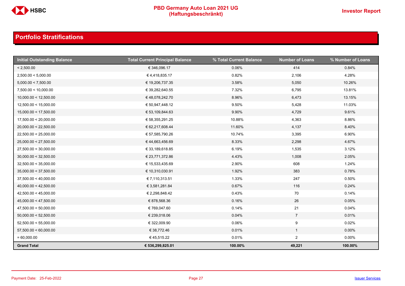

| <b>Initial Outstanding Balance</b> | <b>Total Current Principal Balance</b> | % Total Current Balance | <b>Number of Loans</b> | % Number of Loans |
|------------------------------------|----------------------------------------|-------------------------|------------------------|-------------------|
| < 2,500.00                         | € 346,096.17                           | 0.06%                   | 414                    | 0.84%             |
| 2,500.00 < 5,000.00                | €4,418,835.17                          | 0.82%                   | 2,106                  | 4.28%             |
| 5,000.00 < 7,500.00                | € 19,206,737.35                        | 3.58%                   | 5,050                  | 10.26%            |
| 7,500.00 < 10,000.00               | € 39,282,640.55                        | 7.32%                   | 6,795                  | 13.81%            |
| 10,000.00 < 12,500.00              | €48,078,242.70                         | 8.96%                   | 6,473                  | 13.15%            |
| 12,500.00 < 15,000.00              | € 50,947,448.12                        | 9.50%                   | 5,428                  | 11.03%            |
| 15,000.00 < 17,500.00              | € 53,109,844.63                        | 9.90%                   | 4,729                  | 9.61%             |
| 17,500.00 < 20,000.00              | € 58,355,291.25                        | 10.88%                  | 4,363                  | 8.86%             |
| 20,000.00 < 22,500.00              | € 62,217,608.44                        | 11.60%                  | 4,137                  | 8.40%             |
| 22,500.00 < 25,000.00              | € 57,585,790.26                        | 10.74%                  | 3,395                  | 6.90%             |
| 25,000.00 < 27,500.00              | €44,663,456.69                         | 8.33%                   | 2,298                  | 4.67%             |
| 27,500.00 < 30,000.00              | € 33,189,618.85                        | 6.19%                   | 1,535                  | 3.12%             |
| 30,000.00 < 32,500.00              | € 23,771,372.86                        | 4.43%                   | 1,008                  | 2.05%             |
| 32,500.00 < 35,000.00              | € 15,533,435.69                        | 2.90%                   | 608                    | 1.24%             |
| 35,000.00 < 37,500.00              | € 10,310,030.91                        | 1.92%                   | 383                    | 0.78%             |
| 37,500.00 < 40,000.00              | € 7,110,313.51                         | 1.33%                   | 247                    | 0.50%             |
| 40,000.00 < 42,500.00              | € 3,581,281.84                         | 0.67%                   | 116                    | 0.24%             |
| 42,500.00 < 45,000.00              | € 2,298,848.42                         | 0.43%                   | 70                     | 0.14%             |
| 45,000.00 < 47,500.00              | € 878,568.36                           | 0.16%                   | 26                     | 0.05%             |
| 47,500.00 < 50,000.00              | € 769,047.60                           | 0.14%                   | 21                     | 0.04%             |
| 50,000.00 < 52,500.00              | € 239,018.06                           | 0.04%                   | $\overline{7}$         | 0.01%             |
| 52,500.00 < 55,000.00              | € 322,009.90                           | 0.06%                   | 9                      | 0.02%             |
| 57,500.00 < 60,000.00              | € 38,772.46                            | 0.01%                   | $\mathbf{1}$           | $0.00\%$          |
| $= 60,000.00$                      | € 45,515.22                            | 0.01%                   | $\overline{2}$         | $0.00\%$          |
| <b>Grand Total</b>                 | € 536,299,825.01                       | 100.00%                 | 49,221                 | 100.00%           |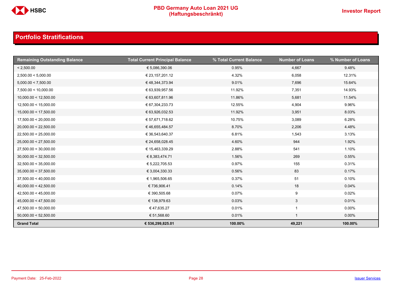

| <b>Remaining Outstanding Balance</b> | <b>Total Current Principal Balance</b> | % Total Current Balance | <b>Number of Loans</b> | % Number of Loans |
|--------------------------------------|----------------------------------------|-------------------------|------------------------|-------------------|
| < 2,500.00                           | € 5,086,390.06                         | 0.95%                   | 4,667                  | 9.48%             |
| 2,500.00 < 5,000.00                  | € 23,157,201.12                        | 4.32%                   | 6,058                  | 12.31%            |
| 5,000.00 < 7,500.00                  | € 48,344,373.94                        | 9.01%                   | 7,696                  | 15.64%            |
| 7,500.00 < 10,000.00                 | € 63,939,957.56                        | 11.92%                  | 7,351                  | 14.93%            |
| 10,000.00 < 12,500.00                | € 63,607,811.96                        | 11.86%                  | 5,681                  | 11.54%            |
| 12,500.00 < 15,000.00                | € 67,304,233.73                        | 12.55%                  | 4,904                  | 9.96%             |
| 15,000.00 < 17,500.00                | € 63,926,032.53                        | 11.92%                  | 3,951                  | 8.03%             |
| 17,500.00 < 20,000.00                | € 57,671,718.62                        | 10.75%                  | 3,089                  | 6.28%             |
| 20,000.00 < 22,500.00                | €46,655,484.57                         | 8.70%                   | 2,206                  | 4.48%             |
| 22,500.00 < 25,000.00                | € 36,543,640.37                        | 6.81%                   | 1,543                  | 3.13%             |
| 25,000.00 < 27,500.00                | € 24,658,028.45                        | 4.60%                   | 944                    | 1.92%             |
| 27,500.00 < 30,000.00                | € 15,463,339.29                        | 2.88%                   | 541                    | 1.10%             |
| 30,000.00 < 32,500.00                | € 8,383,474.71                         | 1.56%                   | 269                    | 0.55%             |
| 32,500.00 < 35,000.00                | € 5,222,705.53                         | 0.97%                   | 155                    | 0.31%             |
| 35,000.00 < 37,500.00                | € 3,004,330.33                         | 0.56%                   | 83                     | 0.17%             |
| 37,500.00 < 40,000.00                | € 1,965,506.65                         | 0.37%                   | 51                     | 0.10%             |
| 40,000.00 < 42,500.00                | € 736,906.41                           | 0.14%                   | 18                     | 0.04%             |
| 42,500.00 < 45,000.00                | € 390,505.68                           | 0.07%                   | 9                      | 0.02%             |
| 45,000.00 < 47,500.00                | € 138,979.63                           | 0.03%                   | $\mathbf{3}$           | 0.01%             |
| 47,500.00 < 50,000.00                | € 47,635.27                            | 0.01%                   |                        | $0.00\%$          |
| 50,000.00 < 52,500.00                | € 51,568.60                            | 0.01%                   | $\overline{1}$         | $0.00\%$          |
| <b>Grand Total</b>                   | € 536,299,825.01                       | 100.00%                 | 49,221                 | 100.00%           |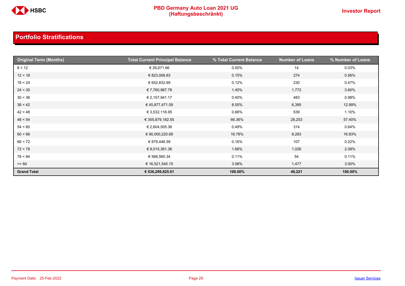

| <b>Original Term (Months)</b> | <b>Total Current Principal Balance</b> | % Total Current Balance | <b>Number of Loans</b> | % Number of Loans |
|-------------------------------|----------------------------------------|-------------------------|------------------------|-------------------|
| 6 < 12                        | € 26,671.66                            | $0.00\%$                | 14                     | 0.03%             |
| 12 < 18                       | € 823,006.63                           | 0.15%                   | 274                    | 0.56%             |
| 18 < 24                       | € 652,832.69                           | 0.12%                   | 230                    | 0.47%             |
| 24 < 30                       | € 7,760,967.78                         | 1.45%                   | 1,772                  | 3.60%             |
| 30 < 36                       | € 2,157,941.17                         | 0.40%                   | 483                    | 0.98%             |
| 36 < 42                       | € 45,877,471.09                        | 8.55%                   | 6,395                  | 12.99%            |
| 42 < 48                       | € 3,532,116.95                         | 0.66%                   | 539                    | 1.10%             |
| 48 < 54                       | € 355,879,182.55                       | 66.36%                  | 28,253                 | 57.40%            |
| 54 < 60                       | € 2,604,505.36                         | 0.49%                   | 314                    | 0.64%             |
| 60 < 66                       | € 90,000,220.69                        | 16.78%                  | 8,283                  | 16.83%            |
| 66 < 72                       | € 879,446.59                           | 0.16%                   | 107                    | 0.22%             |
| 72 < 78                       | € 9,015,361.36                         | 1.68%                   | 1,026                  | 2.08%             |
| 78 < 84                       | € 568,560.34                           | 0.11%                   | 54                     | 0.11%             |
| $>= 84$                       | € 16,521,540.15                        | 3.08%                   | 1,477                  | 3.00%             |
| <b>Grand Total</b>            | € 536,299,825.01                       | 100.00%                 | 49,221                 | 100.00%           |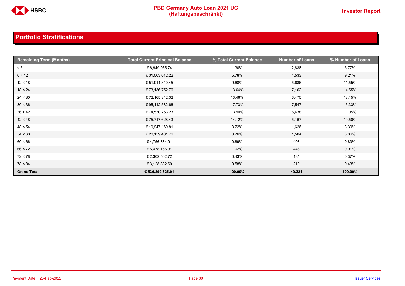

| <b>Remaining Term (Months)</b> | <b>Total Current Principal Balance</b> | % Total Current Balance | <b>Number of Loans</b> | % Number of Loans |
|--------------------------------|----------------------------------------|-------------------------|------------------------|-------------------|
| < 6                            | € 6,949,965.74                         | 1.30%                   | 2,838                  | 5.77%             |
| 6 < 12                         | € 31,003,012.22                        | 5.78%                   | 4,533                  | 9.21%             |
| 12 < 18                        | € 51,911,340.45                        | 9.68%                   | 5,686                  | 11.55%            |
| 18 < 24                        | € 73,136,752.76                        | 13.64%                  | 7,162                  | 14.55%            |
| 24 < 30                        | € 72,165,342.32                        | 13.46%                  | 6,475                  | 13.15%            |
| 30 < 36                        | € 95,112,582.66                        | 17.73%                  | 7,547                  | 15.33%            |
| 36 < 42                        | € 74,530,253.23                        | 13.90%                  | 5,438                  | 11.05%            |
| 42 < 48                        | € 75,717,628.43                        | 14.12%                  | 5,167                  | 10.50%            |
| 48 < 54                        | € 19,947,169.81                        | 3.72%                   | 1,626                  | 3.30%             |
| 54 < 60                        | € 20,159,401.76                        | 3.76%                   | 1,504                  | 3.06%             |
| 60 < 66                        | €4,756,884.91                          | 0.89%                   | 408                    | 0.83%             |
| 66 < 72                        | € 5,478,155.31                         | 1.02%                   | 446                    | 0.91%             |
| 72 < 78                        | € 2,302,502.72                         | 0.43%                   | 181                    | 0.37%             |
| 78 < 84                        | € 3,128,832.69                         | 0.58%                   | 210                    | 0.43%             |
| <b>Grand Total</b>             | € 536,299,825.01                       | 100.00%                 | 49,221                 | 100.00%           |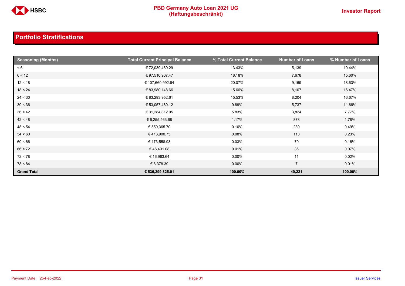

| <b>Seasoning (Months)</b> | <b>Total Current Principal Balance</b> | % Total Current Balance | <b>Number of Loans</b> | % Number of Loans |
|---------------------------|----------------------------------------|-------------------------|------------------------|-------------------|
| < 6                       | € 72,039,469.29                        | 13.43%                  | 5,139                  | 10.44%            |
| 6 < 12                    | € 97,510,907.47                        | 18.18%                  | 7,678                  | 15.60%            |
| 12 < 18                   | € 107,660,992.64                       | 20.07%                  | 9,169                  | 18.63%            |
| 18 < 24                   | € 83,980,148.66                        | 15.66%                  | 8,107                  | 16.47%            |
| 24 < 30                   | € 83,293,952.61                        | 15.53%                  | 8,204                  | 16.67%            |
| 30 < 36                   | € 53,057,480.12                        | 9.89%                   | 5,737                  | 11.66%            |
| 36 < 42                   | € 31,284,812.05                        | 5.83%                   | 3,824                  | 7.77%             |
| 42 < 48                   | € 6,255,463.68                         | 1.17%                   | 878                    | 1.78%             |
| 48 < 54                   | € 559,365.70                           | 0.10%                   | 239                    | 0.49%             |
| 54 < 60                   | €413,900.75                            | 0.08%                   | 113                    | 0.23%             |
| 60 < 66                   | € 173,558.93                           | 0.03%                   | 79                     | 0.16%             |
| 66 < 72                   | €46,431.08                             | 0.01%                   | 36                     | 0.07%             |
| 72 < 78                   | € 16,963.64                            | $0.00\%$                | 11                     | 0.02%             |
| 78 < 84                   | € 6,378.39                             | $0.00\%$                | $\overline{7}$         | 0.01%             |
| <b>Grand Total</b>        | € 536,299,825.01                       | 100.00%                 | 49,221                 | 100.00%           |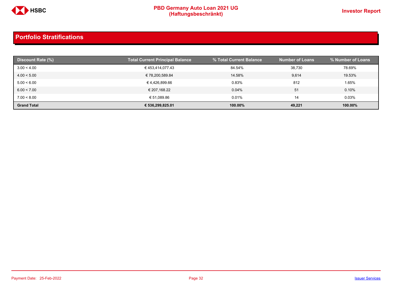

| Discount Rate (%)  | <b>Total Current Principal Balance</b> | % Total Current Balance | <b>Number of Loans</b> | % Number of Loans |
|--------------------|----------------------------------------|-------------------------|------------------------|-------------------|
| 3.00 < 4.00        | €453,414,077.43                        | 84.54%                  | 38,730                 | 78.69%            |
| 4.00 < 5.00        | € 78,200,589.84                        | 14.58%                  | 9,614                  | 19.53%            |
| 5.00 < 6.00        | € 4.426.899.66                         | 0.83%                   | 812                    | 1.65%             |
| 6.00 < 7.00        | € 207,168.22                           | 0.04%                   | 51                     | 0.10%             |
| 7.00 < 8.00        | € 51,089.86                            | 0.01%                   | 14                     | 0.03%             |
| <b>Grand Total</b> | € 536,299,825.01                       | 100.00%                 | 49,221                 | 100.00%           |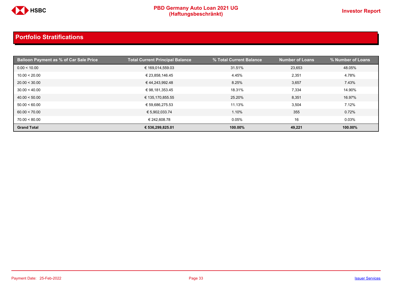

| <b>Balloon Payment as % of Car Sale Price</b> | <b>Total Current Principal Balance</b> | % Total Current Balance | <b>Number of Loans</b> | % Number of Loans |
|-----------------------------------------------|----------------------------------------|-------------------------|------------------------|-------------------|
| 0.00 < 10.00                                  | € 169,014,559.03                       | 31.51%                  | 23,653                 | 48.05%            |
| 10.00 < 20.00                                 | € 23,858,146.45                        | 4.45%                   | 2,351                  | 4.78%             |
| 20.00 < 30.00                                 | €44,243,992.48                         | 8.25%                   | 3,657                  | 7.43%             |
| 30.00 < 40.00                                 | € 98,181,353.45                        | 18.31%                  | 7,334                  | 14.90%            |
| 40.00 < 50.00                                 | € 135,170,855.55                       | 25.20%                  | 8,351                  | 16.97%            |
| 50.00 < 60.00                                 | € 59,686,275.53                        | 11.13%                  | 3,504                  | 7.12%             |
| 60.00 < 70.00                                 | € 5,902,033.74                         | 1.10%                   | 355                    | 0.72%             |
| 70.00 < 80.00                                 | € 242,608.78                           | 0.05%                   | 16                     | 0.03%             |
| <b>Grand Total</b>                            | € 536,299,825.01                       | 100.00%                 | 49,221                 | 100.00%           |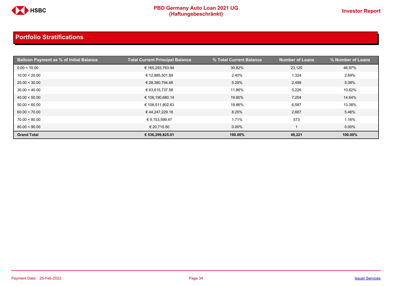

| Balloon Payment as % of Initia <u>l Balance b</u> | <b>Total Current Principal Balance</b> | % Total Current Balance | <b>Number of Loans</b> | % Number of Loans |
|---------------------------------------------------|----------------------------------------|-------------------------|------------------------|-------------------|
| 0.00 < 10.00                                      | € 165,293,763.94                       | 30.82%                  | 23,120                 | 46.97%            |
| 10.00 < 20.00                                     | € 12,885,501.89                        | 2.40%                   | 1,324                  | 2.69%             |
| 20.00 < 30.00                                     | € 28,380,794.68                        | 5.29%                   | 2,499                  | 5.08%             |
| 30.00 < 40.00                                     | € 63,615,737.58                        | 11.86%                  | 5,226                  | 10.62%            |
| 40.00 < 50.00                                     | € 106,190,680.14                       | 19.80%                  | 7,204                  | 14.64%            |
| 50.00 < 60.00                                     | € 106,511,802.63                       | 19.86%                  | 6,587                  | 13.38%            |
| 60.00 < 70.00                                     | € 44,247,229.18                        | 8.25%                   | 2,687                  | 5.46%             |
| 70.00 < 80.00                                     | € 9,153,599.47                         | 1.71%                   | 573                    | 1.16%             |
| 80.00 < 90.00                                     | € 20,715.50                            | $0.00\%$                |                        | $0.00\%$          |
| <b>Grand Total</b>                                | € 536,299,825.01                       | 100.00%                 | 49,221                 | 100.00%           |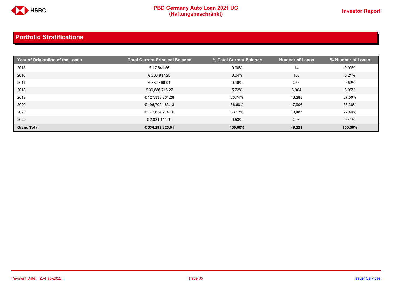

| Year of Origiantion of the Loans | <b>Total Current Principal Balance</b> | % Total Current Balance | <b>Number of Loans</b> | % Number of Loans |
|----------------------------------|----------------------------------------|-------------------------|------------------------|-------------------|
| 2015                             | € 17,641.56                            | $0.00\%$                | 14                     | 0.03%             |
| 2016                             | € 206,847.25                           | 0.04%                   | 105                    | 0.21%             |
| 2017                             | € 882,466.91                           | 0.16%                   | 256                    | 0.52%             |
| 2018                             | € 30,686,718.27                        | 5.72%                   | 3,964                  | 8.05%             |
| 2019                             | € 127,338,361.28                       | 23.74%                  | 13,288                 | 27.00%            |
| 2020                             | € 196,709,463.13                       | 36.68%                  | 17,906                 | 36.38%            |
| 2021                             | € 177,624,214.70                       | 33.12%                  | 13,485                 | 27.40%            |
| 2022                             | € 2,834,111.91                         | 0.53%                   | 203                    | 0.41%             |
| <b>Grand Total</b>               | € 536,299,825.01                       | 100.00%                 | 49,221                 | 100.00%           |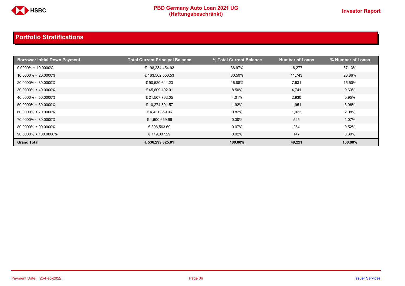

| <b>Borrower Initial Down Payment</b> | <b>Total Current Principal Balance</b> | % Total Current Balance | Number of Loans | % Number of Loans |
|--------------------------------------|----------------------------------------|-------------------------|-----------------|-------------------|
| $0.0000\% < 10.0000\%$               | € 198,284,454.92                       | 36.97%                  | 18,277          | 37.13%            |
| $10.0000\% < 20.0000\%$              | € 163,562,550.53                       | 30.50%                  | 11,743          | 23.86%            |
| $20.0000\% < 30.0000\%$              | € 90,520,644.23                        | 16.88%                  | 7,631           | 15.50%            |
| $30.0000\% < 40.0000\%$              | €45,609,102.01                         | 8.50%                   | 4,741           | 9.63%             |
| $40.0000\% < 50.0000\%$              | € 21,507,762.05                        | 4.01%                   | 2,930           | 5.95%             |
| $50.0000\% < 60.0000\%$              | € 10,274,891.57                        | 1.92%                   | 1,951           | 3.96%             |
| $60.0000\% < 70.0000\%$              | €4,421,859.06                          | 0.82%                   | 1,022           | 2.08%             |
| $70.0000\% < 80.0000\%$              | € 1,600,659.66                         | 0.30%                   | 525             | 1.07%             |
| $80.0000\% < 90.0000\%$              | € 398,563.69                           | 0.07%                   | 254             | 0.52%             |
| $90.0000\% < 100.0000\%$             | € 119,337.29                           | 0.02%                   | 147             | $0.30\%$          |
| <b>Grand Total</b>                   | € 536,299,825.01                       | 100.00%                 | 49,221          | 100.00%           |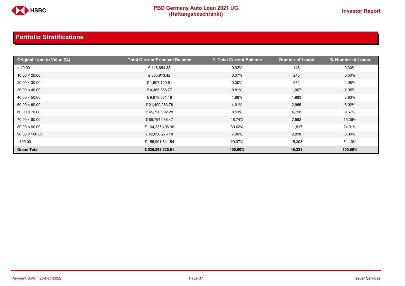

| Original Loan to Value (%) | <b>Total Current Principal Balance</b> | % Total Current Balance | <b>Number of Loans</b> | % Number of Loans |
|----------------------------|----------------------------------------|-------------------------|------------------------|-------------------|
| < 10.00                    | € 118,654.83                           | 0.02%                   | 146                    | 0.30%             |
| 10.00 < 20.00              | € 385,913.42                           | 0.07%                   | 245                    | 0.50%             |
| 20.00 < 30.00              | € 1,607,120.61                         | 0.30%                   | 532                    | 1.08%             |
| 30.00 < 40.00              | €4,365,858.77                          | 0.81%                   | 1,007                  | 2.05%             |
| 40.00 < 50.00              | € 9,978,551.19                         | 1.86%                   | 1,883                  | 3.83%             |
| 50.00 < 60.00              | € 21,499,283.76                        | 4.01%                   | 2,965                  | 6.02%             |
| 60.00 < 70.00              | € 45,720,992.28                        | 8.53%                   | 4,758                  | 9.67%             |
| 70.00 < 80.00              | € 89,794,038.47                        | 16.74%                  | 7,562                  | 15.36%            |
| 80.00 < 90.00              | € 164,237,496.96                       | 30.62%                  | 11,817                 | 24.01%            |
| 90.00 < 100.00             | €42,690,273.18                         | 7.96%                   | 2,998                  | 6.09%             |
| $=100.00$                  | € 155,901,641.54                       | 29.07%                  | 15,308                 | 31.10%            |
| <b>Grand Total</b>         | € 536,299,825.01                       | 100.00%                 | 49,221                 | 100.00%           |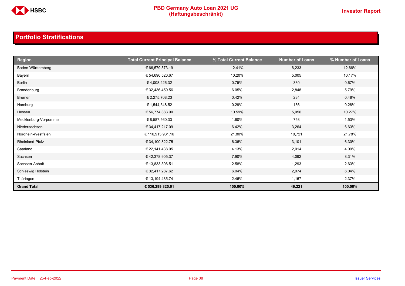

| <b>Region</b>        | <b>Total Current Principal Balance</b> | % Total Current Balance | <b>Number of Loans</b> | % Number of Loans |
|----------------------|----------------------------------------|-------------------------|------------------------|-------------------|
| Baden-Württemberg    | € 66,579,373.19                        | 12.41%                  | 6,233                  | 12.66%            |
| Bayern               | € 54,696,520.67                        | 10.20%                  | 5,005                  | 10.17%            |
| Berlin               | €4,008,426.32                          | 0.75%                   | 330                    | 0.67%             |
| Brandenburg          | € 32,436,459.56                        | 6.05%                   | 2,848                  | 5.79%             |
| Bremen               | € 2,275,708.23                         | 0.42%                   | 234                    | 0.48%             |
| Hamburg              | € 1,544,548.52                         | 0.29%                   | 136                    | 0.28%             |
| Hessen               | € 56,774,383.90                        | 10.59%                  | 5,056                  | 10.27%            |
| Mecklenburg-Vorpomme | € 8,587,560.33                         | 1.60%                   | 753                    | 1.53%             |
| Niedersachsen        | € 34,417,217.09                        | 6.42%                   | 3,264                  | 6.63%             |
| Nordhein-Westfalen   | € 116,913,931.16                       | 21.80%                  | 10,721                 | 21.78%            |
| Rheinland-Pfalz      | € 34,100,322.75                        | 6.36%                   | 3,101                  | 6.30%             |
| Saarland             | € 22,141,438.05                        | 4.13%                   | 2,014                  | 4.09%             |
| Sachsen              | € 42,378,905.37                        | 7.90%                   | 4,092                  | 8.31%             |
| Sachsen-Anhalt       | € 13,833,306.51                        | 2.58%                   | 1,293                  | 2.63%             |
| Schleswig Holstein   | € 32,417,287.62                        | 6.04%                   | 2,974                  | 6.04%             |
| Thüringen            | € 13,194,435.74                        | 2.46%                   | 1,167                  | 2.37%             |
| <b>Grand Total</b>   | € 536,299,825.01                       | 100.00%                 | 49,221                 | 100.00%           |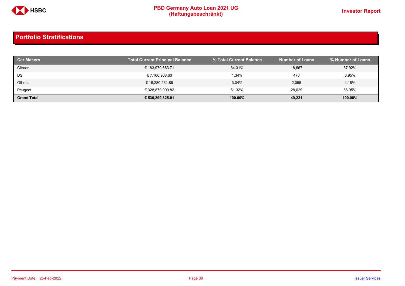

| <b>Car Makers</b>  | <b>Total Current Principal Balance</b> | % Total Current Balance | <b>Number of Loans</b> | % Number of Loans |
|--------------------|----------------------------------------|-------------------------|------------------------|-------------------|
| Citroen            | € 183,979,683.71                       | 34.31%                  | 18,667                 | 37.92%            |
| DS                 | € 7,160,908.60                         | 1.34%                   | 470                    | 0.95%             |
| <b>Others</b>      | € 16,280,231.88                        | 3.04%                   | 2,055                  | 4.18%             |
| Peugeot            | € 328,879,000.82                       | 61.32%                  | 28,029                 | 56.95%            |
| <b>Grand Total</b> | € 536,299,825.01                       | 100.00%                 | 49,221                 | 100.00%           |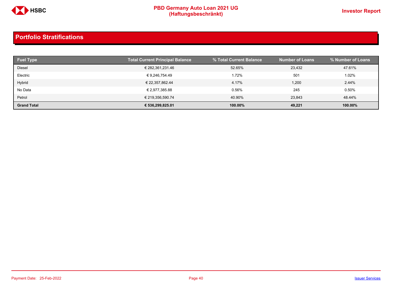

| <b>Fuel Type</b>   | <b>Total Current Principal Balance</b> | % Total Current Balance | <b>Number of Loans</b> | % Number of Loans |
|--------------------|----------------------------------------|-------------------------|------------------------|-------------------|
| <b>Diesel</b>      | € 282,361,231.46                       | 52.65%                  | 23,432                 | 47.61%            |
| Electric           | € 9,246,754.49                         | 1.72%                   | 501                    | 1.02%             |
| Hybrid             | € 22,357,862.44                        | 4.17%                   | 1,200                  | 2.44%             |
| No Data            | € 2,977,385.88                         | 0.56%                   | 245                    | 0.50%             |
| Petrol             | € 219,356,590.74                       | 40.90%                  | 23.843                 | 48.44%            |
| <b>Grand Total</b> | € 536,299,825.01                       | 100.00%                 | 49,221                 | 100.00%           |